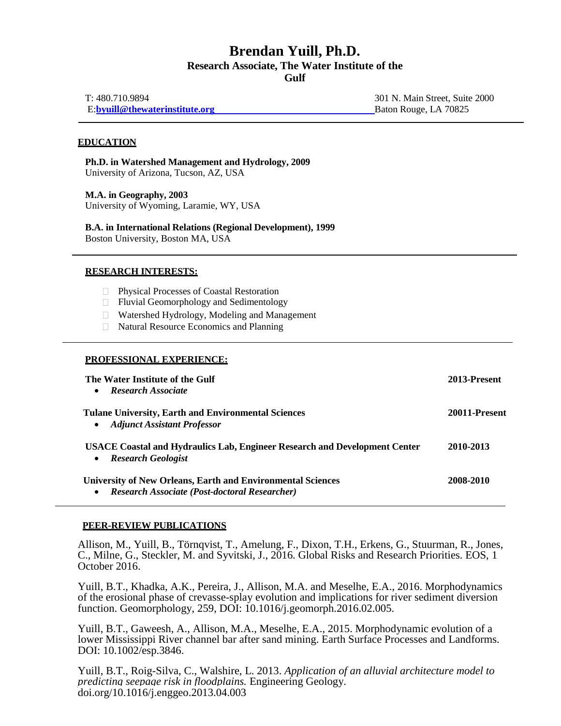# **Brendan Yuill, Ph.D. Research Associate, The Water Institute of the Gulf**

| T: 480.710.9894                 | 301 N. Main Street, Suite 2000 |
|---------------------------------|--------------------------------|
| E: byuill@thewaterinstitute.org | Baton Rouge, LA 70825          |

### **EDUCATION**

**Ph.D. in Watershed Management and Hydrology, 2009** University of Arizona, Tucson, AZ, USA

**M.A. in Geography, 2003** University of Wyoming, Laramie, WY, USA

**B.A. in International Relations (Regional Development), 1999** Boston University, Boston MA, USA

### **RESEARCH INTERESTS:**

- $\Box$ Physical Processes of Coastal Restoration
- Fluvial Geomorphology and Sedimentology  $\Box$
- Watershed Hydrology, Modeling and Management
- $\Box$ Natural Resource Economics and Planning

#### **PROFESSIONAL EXPERIENCE:**

| The Water Institute of the Gulf<br><b>Research Associate</b>                                                                            | 2013-Present  |
|-----------------------------------------------------------------------------------------------------------------------------------------|---------------|
| <b>Tulane University, Earth and Environmental Sciences</b><br><b>Adjunct Assistant Professor</b>                                        | 20011-Present |
| <b>USACE Coastal and Hydraulics Lab, Engineer Research and Development Center</b><br><b>Research Geologist</b><br>$\bullet$             | 2010-2013     |
| <b>University of New Orleans, Earth and Environmental Sciences</b><br><b>Research Associate (Post-doctoral Researcher)</b><br>$\bullet$ | 2008-2010     |

#### **PEER-REVIEW PUBLICATIONS**

Allison, M., Yuill, B., Törnqvist, T., Amelung, F., Dixon, T.H., Erkens, G., Stuurman, R., Jones, C., Milne, G., Steckler, M. and Syvitski, J., 2016. Global Risks and Research Priorities. EOS, 1 October 2016.

Yuill, B.T., Khadka, A.K., Pereira, J., Allison, M.A. and Meselhe, E.A., 2016. Morphodynamics of the erosional phase of crevasse-splay evolution and implications for river sediment diversion function. Geomorphology, 259, DOI: 10.1016/j.geomorph.2016.02.005.

Yuill, B.T., Gaweesh, A., Allison, M.A., Meselhe, E.A., 2015. Morphodynamic evolution of a lower Mississippi River channel bar after sand mining. Earth Surface Processes and Landforms. DOI: 10.1002/esp.3846.

Yuill, B.T., Roig-Silva, C., Walshire, L. 2013. *Application of an alluvial architecture model to predicting seepage risk in floodplains.* Engineering Geology. [doi.org/10.1016/j.enggeo.2013.04.003](http://dx.doi.org/10.1016/j.enggeo.2013.04.003)